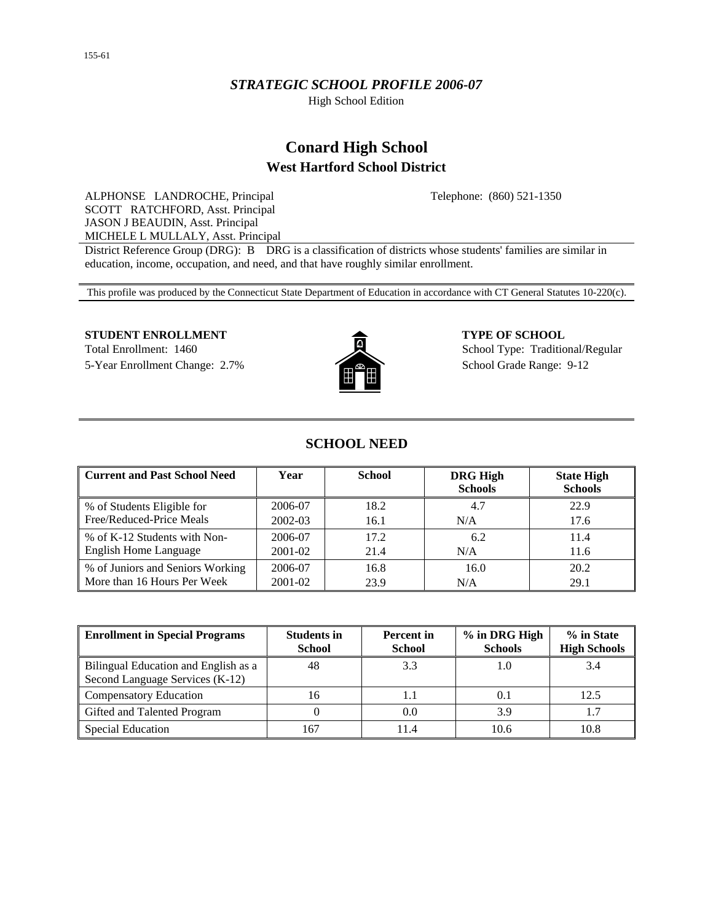## *STRATEGIC SCHOOL PROFILE 2006-07*

High School Edition

# **Conard High School West Hartford School District**

Telephone: (860) 521-1350

ALPHONSE LANDROCHE, Principal SCOTT RATCHFORD, Asst. Principal JASON J BEAUDIN, Asst. Principal MICHELE L MULLALY, Asst. Principal

District Reference Group (DRG): B DRG is a classification of districts whose students' families are similar in education, income, occupation, and need, and that have roughly similar enrollment.

This profile was produced by the Connecticut State Department of Education in accordance with CT General Statutes 10-220(c).

#### **STUDENT ENROLLMENT 4 2 5 5 6 6 6 6 7 YPE OF SCHOOL**

Total Enrollment: 1460 School Type: Traditional/Regular 5-Year Enrollment Change: 2.7% School Grade Range: 9-12



## **SCHOOL NEED**

| <b>Current and Past School Need</b> | Year    | <b>School</b> | <b>DRG High</b><br><b>Schools</b> | <b>State High</b><br><b>Schools</b> |
|-------------------------------------|---------|---------------|-----------------------------------|-------------------------------------|
| % of Students Eligible for          | 2006-07 | 18.2          | 4.7                               | 22.9                                |
| Free/Reduced-Price Meals            | 2002-03 | 16.1          | N/A                               | 17.6                                |
| % of K-12 Students with Non-        | 2006-07 | 17.2          | 6.2                               | 11.4                                |
| English Home Language               | 2001-02 | 21.4          | N/A                               | 11.6                                |
| % of Juniors and Seniors Working    | 2006-07 | 16.8          | 16.0                              | 20.2                                |
| More than 16 Hours Per Week         | 2001-02 | 23.9          | N/A                               | 29.1                                |

| <b>Enrollment in Special Programs</b>                                   | <b>Students in</b><br><b>School</b> | <b>Percent</b> in<br><b>School</b> | % in DRG High<br><b>Schools</b> | % in State<br><b>High Schools</b> |
|-------------------------------------------------------------------------|-------------------------------------|------------------------------------|---------------------------------|-----------------------------------|
| Bilingual Education and English as a<br>Second Language Services (K-12) | 48                                  | 3.3                                |                                 | 3.4                               |
| <b>Compensatory Education</b>                                           | 16                                  |                                    |                                 | 12.5                              |
| Gifted and Talented Program                                             |                                     | 0.0                                | 3.9                             |                                   |
| <b>Special Education</b>                                                | 67ء                                 | 11.4                               | 10.6                            | 10.8                              |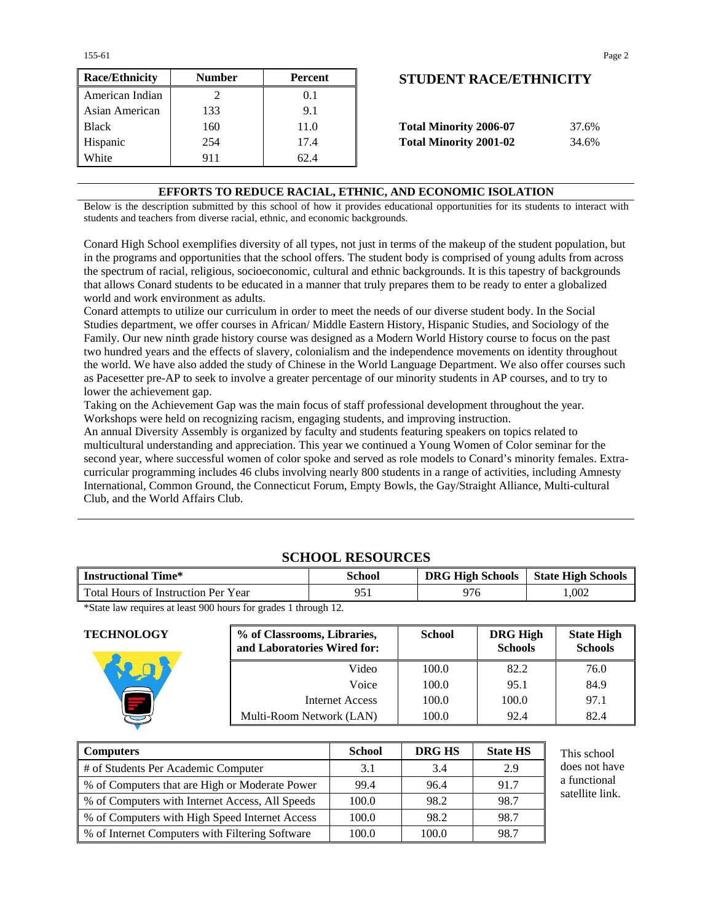155-61 Page 2

| <b>Race/Ethnicity</b> | <b>Number</b> | <b>Percent</b> | <b>STUDENT RACE/ETHNICITY</b>          |
|-----------------------|---------------|----------------|----------------------------------------|
| American Indian       |               | 0.1            |                                        |
| Asian American        | 133           | 9.1            |                                        |
| <b>Black</b>          | 160           | 11.0           | <b>Total Minority 2006-07</b><br>37.6% |
| Hispanic              | 254           | 17.4           | <b>Total Minority 2001-02</b><br>34.6% |
| White                 | 911           | 62.4           |                                        |

## **STUDENT RACE/ETHNICITY**

| <b>Total Minority 2006-07</b> | 37.6% |
|-------------------------------|-------|
| <b>Total Minority 2001-02</b> | 34.6% |

## **EFFORTS TO REDUCE RACIAL, ETHNIC, AND ECONOMIC ISOLATION**

Below is the description submitted by this school of how it provides educational opportunities for its students to interact with students and teachers from diverse racial, ethnic, and economic backgrounds.

Conard High School exemplifies diversity of all types, not just in terms of the makeup of the student population, but in the programs and opportunities that the school offers. The student body is comprised of young adults from across the spectrum of racial, religious, socioeconomic, cultural and ethnic backgrounds. It is this tapestry of backgrounds that allows Conard students to be educated in a manner that truly prepares them to be ready to enter a globalized world and work environment as adults.

Conard attempts to utilize our curriculum in order to meet the needs of our diverse student body. In the Social Studies department, we offer courses in African/ Middle Eastern History, Hispanic Studies, and Sociology of the Family. Our new ninth grade history course was designed as a Modern World History course to focus on the past two hundred years and the effects of slavery, colonialism and the independence movements on identity throughout the world. We have also added the study of Chinese in the World Language Department. We also offer courses such as Pacesetter pre-AP to seek to involve a greater percentage of our minority students in AP courses, and to try to lower the achievement gap.

Taking on the Achievement Gap was the main focus of staff professional development throughout the year. Workshops were held on recognizing racism, engaging students, and improving instruction.

An annual Diversity Assembly is organized by faculty and students featuring speakers on topics related to multicultural understanding and appreciation. This year we continued a Young Women of Color seminar for the second year, where successful women of color spoke and served as role models to Conard's minority females. Extracurricular programming includes 46 clubs involving nearly 800 students in a range of activities, including Amnesty International, Common Ground, the Connecticut Forum, Empty Bowls, the Gay/Straight Alliance, Multi-cultural Club, and the World Affairs Club.

| <b>Instructional Time*</b>          | School | <b>DRG High Schools</b> | <b>State High Schools</b> |  |  |  |  |  |  |
|-------------------------------------|--------|-------------------------|---------------------------|--|--|--|--|--|--|
| Total Hours of Instruction Per Year | 951    | 976                     | .002                      |  |  |  |  |  |  |

**SCHOOL RESOURCES**

\*State law requires at least 900 hours for grades 1 through 12.

**TECHNOLOGY % of Classrooms, Libraries, and Laboratories Wired for: School DRG High Schools State High Schools**  Video | 100.0 | 82.2 | 76.0 Voice | 100.0 | 95.1 | 84.9 Internet Access 100.0 100.0 97.1 Multi-Room Network (LAN)  $\vert$  100.0 92.4 82.4

| <b>Computers</b>                                | <b>School</b> | DRG HS | <b>State HS</b> | This school     |
|-------------------------------------------------|---------------|--------|-----------------|-----------------|
| # of Students Per Academic Computer             | 3.1           | 3.4    | 2.9             | does not have   |
| % of Computers that are High or Moderate Power  | 99.4          | 96.4   | 91.7            | a functional    |
| % of Computers with Internet Access, All Speeds | 100.0         | 98.2   | 98.7            | satellite link. |
| % of Computers with High Speed Internet Access  | 100.0         | 98.2   | 98.7            |                 |
| % of Internet Computers with Filtering Software | 100.0         | 100.0  | 98.7            |                 |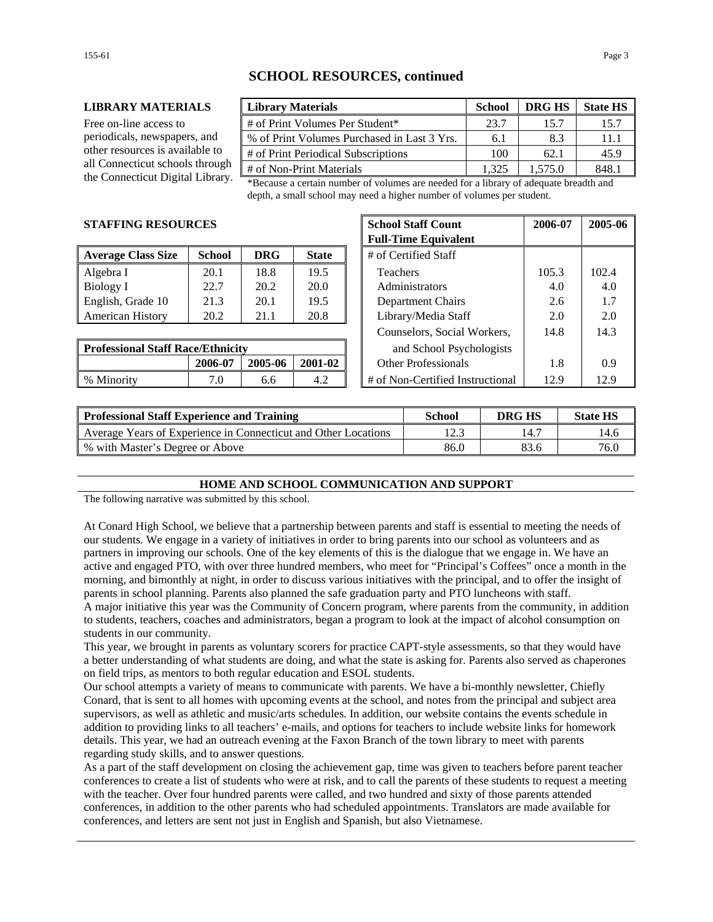## **SCHOOL RESOURCES, continued**

#### **LIBRARY MATERIALS Library Materials School DRG HS State HS**

Free on-line access to periodicals, newspapers, and other resources is available to all Connecticut schools through

| <b>Library Materials</b>                    | <b>School</b> | <b>DRG HS</b> | <b>State HS</b> |
|---------------------------------------------|---------------|---------------|-----------------|
| # of Print Volumes Per Student*             | 23.7          | 15.7          | 15.7            |
| % of Print Volumes Purchased in Last 3 Yrs. | 6.1           | 8.3           | 11.1            |
| # of Print Periodical Subscriptions         | 100           | 62.1          | 45.9            |
| # of Non-Print Materials                    | 1 325         | 1.575.0       | 8481            |

the Connecticut Digital Library. \*Because a certain number of volumes are needed for a library of adequate breadth and depth, a small school may need a higher number of volumes per student.

### **STAFFING RESOURCES**

| <b>Average Class Size</b> | <b>School</b> | <b>DRG</b> | <b>State</b> | # of Certified Staff     |       |       |
|---------------------------|---------------|------------|--------------|--------------------------|-------|-------|
| Algebra I                 | 20.1          | 18.8       | 19.5         | Teachers                 | 105.3 | 102.4 |
| Biology I                 | 22.7          | 20.2       | 20.0         | Administrators           | 4.0   | 4.0   |
| English, Grade 10         | 21.3          | 20.1       | 19.5         | <b>Department Chairs</b> | 2.6   | 1.7   |
| <b>American History</b>   | 20.2          | 21.1       | 20.8         | Library/Media Staff      | 2.0   | 2.0   |

| <b>Professional Staff Race/Ethnicity</b> |         |         | and School Psychologists |                                          |      |
|------------------------------------------|---------|---------|--------------------------|------------------------------------------|------|
|                                          | 2006-07 | 2005-06 | 2001-02                  | Other Professionals                      |      |
| % Minority                               |         |         | 4.2                      | # of Non-Certified Instructional<br>12.9 | 12.9 |

| CES           |            |              | <b>School Staff Count</b>        | 2006-07 | 2005-06 |
|---------------|------------|--------------|----------------------------------|---------|---------|
|               |            |              | <b>Full-Time Equivalent</b>      |         |         |
| <b>School</b> | <b>DRG</b> | <b>State</b> | # of Certified Staff             |         |         |
| 20.1          | 18.8       | 19.5         | <b>Teachers</b>                  | 105.3   | 102.4   |
| 22.7          | 20.2       | 20.0         | Administrators                   | 4.0     | 4.0     |
| 21.3          | 20.1       | 19.5         | Department Chairs                | 2.6     | 1.7     |
| 20.2          | 21.1       | 20.8         | Library/Media Staff              | 2.0     | 2.0     |
|               |            |              | Counselors, Social Workers,      | 14.8    | 14.3    |
| e/Ethnicity   |            |              | and School Psychologists         |         |         |
| 2006-07       | 2005-06    | 2001-02      | <b>Other Professionals</b>       | 1.8     | 0.9     |
| 7.0           | 6.6        | 4.2          | # of Non-Certified Instructional | 12.9    | 12.9    |

| <b>Professional Staff Experience and Training</b>              | School | DRG HS | <b>State HS</b> |
|----------------------------------------------------------------|--------|--------|-----------------|
| Average Years of Experience in Connecticut and Other Locations | 12.3   |        | 14.6            |
| % with Master's Degree or Above                                | 86.0   | 83.6   | 76.0            |

#### **HOME AND SCHOOL COMMUNICATION AND SUPPORT**

The following narrative was submitted by this school.

At Conard High School, we believe that a partnership between parents and staff is essential to meeting the needs of our students. We engage in a variety of initiatives in order to bring parents into our school as volunteers and as partners in improving our schools. One of the key elements of this is the dialogue that we engage in. We have an active and engaged PTO, with over three hundred members, who meet for "Principal's Coffees" once a month in the morning, and bimonthly at night, in order to discuss various initiatives with the principal, and to offer the insight of parents in school planning. Parents also planned the safe graduation party and PTO luncheons with staff. A major initiative this year was the Community of Concern program, where parents from the community, in addition to students, teachers, coaches and administrators, began a program to look at the impact of alcohol consumption on

students in our community.

This year, we brought in parents as voluntary scorers for practice CAPT-style assessments, so that they would have a better understanding of what students are doing, and what the state is asking for. Parents also served as chaperones on field trips, as mentors to both regular education and ESOL students.

Our school attempts a variety of means to communicate with parents. We have a bi-monthly newsletter, Chiefly Conard, that is sent to all homes with upcoming events at the school, and notes from the principal and subject area supervisors, as well as athletic and music/arts schedules. In addition, our website contains the events schedule in addition to providing links to all teachers' e-mails, and options for teachers to include website links for homework details. This year, we had an outreach evening at the Faxon Branch of the town library to meet with parents regarding study skills, and to answer questions.

As a part of the staff development on closing the achievement gap, time was given to teachers before parent teacher conferences to create a list of students who were at risk, and to call the parents of these students to request a meeting with the teacher. Over four hundred parents were called, and two hundred and sixty of those parents attended conferences, in addition to the other parents who had scheduled appointments. Translators are made available for conferences, and letters are sent not just in English and Spanish, but also Vietnamese.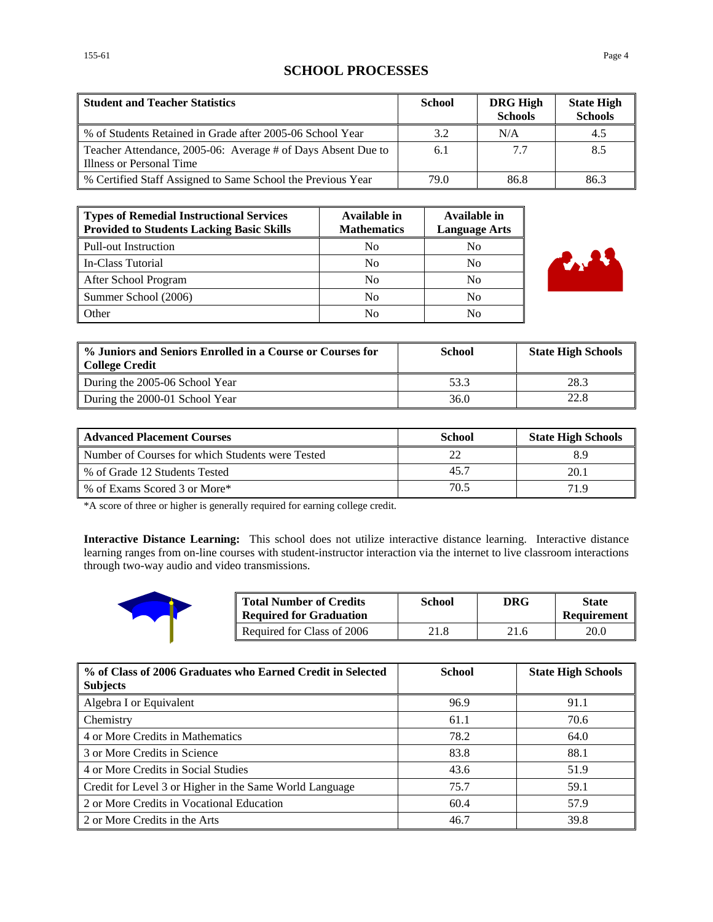## **SCHOOL PROCESSES**

| <b>Student and Teacher Statistics</b>                                                    | <b>School</b> | <b>DRG High</b><br><b>Schools</b> | <b>State High</b><br><b>Schools</b> |
|------------------------------------------------------------------------------------------|---------------|-----------------------------------|-------------------------------------|
| % of Students Retained in Grade after 2005-06 School Year                                | 3.2           | N/A                               | 4.5                                 |
| Teacher Attendance, 2005-06: Average # of Days Absent Due to<br>Illness or Personal Time | 6.1           | 7.7                               | 8.5                                 |
| % Certified Staff Assigned to Same School the Previous Year                              | 79.0          | 86.8                              | 86.3                                |

| Types of Remedial Instructional Services<br><b>Provided to Students Lacking Basic Skills</b> | Available in<br><b>Mathematics</b> | Available in<br><b>Language Arts</b> |
|----------------------------------------------------------------------------------------------|------------------------------------|--------------------------------------|
| Pull-out Instruction                                                                         | N <sub>0</sub>                     | No                                   |
| In-Class Tutorial                                                                            | N <sub>0</sub>                     | No                                   |
| After School Program                                                                         | N <sub>0</sub>                     | No                                   |
| Summer School (2006)                                                                         | N <sub>0</sub>                     | N <sub>0</sub>                       |
| Other                                                                                        | N <sub>0</sub>                     | No                                   |



| % Juniors and Seniors Enrolled in a Course or Courses for<br><b>College Credit</b> | School | <b>State High Schools</b> |
|------------------------------------------------------------------------------------|--------|---------------------------|
| During the 2005-06 School Year                                                     | 53.3   | 28.3                      |
| During the 2000-01 School Year                                                     | 36.0   | 22.8                      |

| <b>Advanced Placement Courses</b>                | <b>School</b> | <b>State High Schools</b> |
|--------------------------------------------------|---------------|---------------------------|
| Number of Courses for which Students were Tested |               |                           |
| % of Grade 12 Students Tested                    | 45.7          | 20.1                      |
| % of Exams Scored 3 or More*                     | 70.5          | 71 Q                      |

\*A score of three or higher is generally required for earning college credit.

**Interactive Distance Learning:** This school does not utilize interactive distance learning. Interactive distance learning ranges from on-line courses with student-instructor interaction via the internet to live classroom interactions through two-way audio and video transmissions.



| <b>Total Number of Credits</b><br><b>Required for Graduation</b> | School | DRG  | <b>State</b><br>Requirement |
|------------------------------------------------------------------|--------|------|-----------------------------|
| Required for Class of 2006                                       | 21.8   | 21.6 | 20.0                        |

| % of Class of 2006 Graduates who Earned Credit in Selected<br><b>Subjects</b> | <b>School</b> | <b>State High Schools</b> |
|-------------------------------------------------------------------------------|---------------|---------------------------|
| Algebra I or Equivalent                                                       | 96.9          | 91.1                      |
| <b>Chemistry</b>                                                              | 61.1          | 70.6                      |
| 4 or More Credits in Mathematics                                              | 78.2          | 64.0                      |
| 3 or More Credits in Science                                                  | 83.8          | 88.1                      |
| 4 or More Credits in Social Studies                                           | 43.6          | 51.9                      |
| Credit for Level 3 or Higher in the Same World Language                       | 75.7          | 59.1                      |
| 2 or More Credits in Vocational Education                                     | 60.4          | 57.9                      |
| 2 or More Credits in the Arts                                                 | 46.7          | 39.8                      |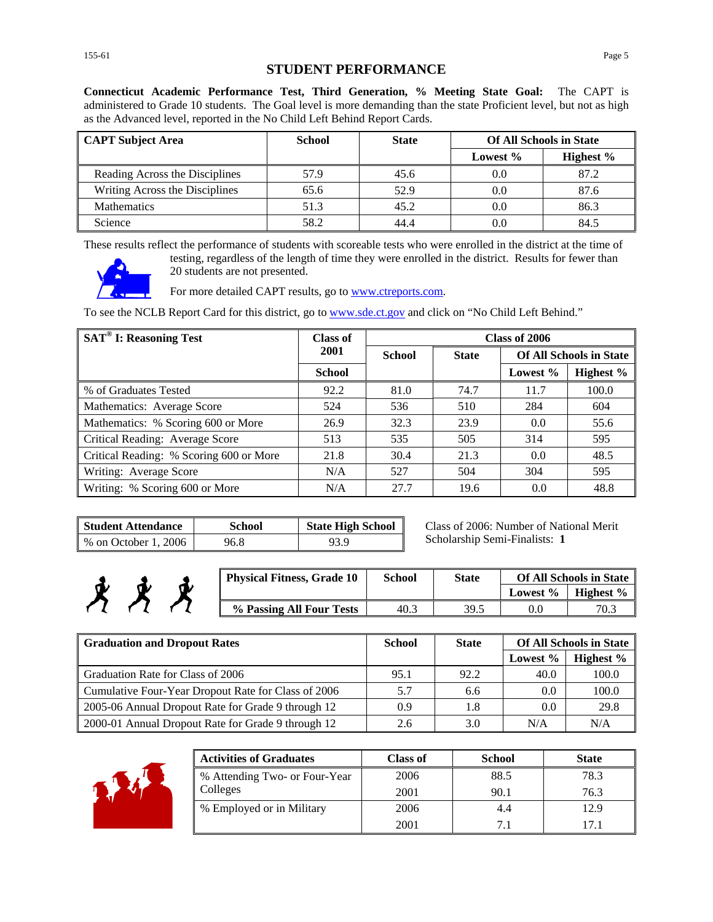**Connecticut Academic Performance Test, Third Generation, % Meeting State Goal:** The CAPT is administered to Grade 10 students. The Goal level is more demanding than the state Proficient level, but not as high as the Advanced level, reported in the No Child Left Behind Report Cards.

| <b>CAPT Subject Area</b>       | School | <b>State</b> | <b>Of All Schools in State</b> |           |
|--------------------------------|--------|--------------|--------------------------------|-----------|
|                                |        |              | Lowest $%$                     | Highest % |
| Reading Across the Disciplines | 57.9   | 45.6         | 0.0                            | 87.2      |
| Writing Across the Disciplines | 65.6   | 52.9         | 0.0                            | 87.6      |
| <b>Mathematics</b>             | 51.3   | 45.2         | 0.0                            | 86.3      |
| Science                        | 58.2   | 44.4         | 0.0                            | 84.5      |

These results reflect the performance of students with scoreable tests who were enrolled in the district at the time of



testing, regardless of the length of time they were enrolled in the district. Results for fewer than 20 students are not presented.

For more detailed CAPT results, go to **www.ctreports.com**.

To see the NCLB Report Card for this district, go to [www.sde.ct.gov](http://www.sde.ct.gov/) and click on "No Child Left Behind."

| <b>SAT<sup>®</sup> I: Reasoning Test</b> | Class of      |               |              | Class of 2006 |                                |
|------------------------------------------|---------------|---------------|--------------|---------------|--------------------------------|
|                                          | 2001          | <b>School</b> | <b>State</b> |               | <b>Of All Schools in State</b> |
|                                          | <b>School</b> |               |              | Lowest $\%$   | Highest %                      |
| % of Graduates Tested                    | 92.2          | 81.0          | 74.7         | 11.7          | 100.0                          |
| Mathematics: Average Score               | 524           | 536           | 510          | 284           | 604                            |
| Mathematics: % Scoring 600 or More       | 26.9          | 32.3          | 23.9         | 0.0           | 55.6                           |
| Critical Reading: Average Score          | 513           | 535           | 505          | 314           | 595                            |
| Critical Reading: % Scoring 600 or More  | 21.8          | 30.4          | 21.3         | 0.0           | 48.5                           |
| Writing: Average Score                   | N/A           | 527           | 504          | 304           | 595                            |
| Writing: % Scoring 600 or More           | N/A           | 27.7          | 19.6         | 0.0           | 48.8                           |

| <b>Student Attendance</b> | <b>School</b> | <b>State High School</b> |
|---------------------------|---------------|--------------------------|
| % on October 1, 2006      | 96.8          | 93.9                     |

Class of 2006: Number of National Merit Scholarship Semi-Finalists: **1**

| <b>Physical Fitness, Grade 10</b> | <b>School</b> | <b>State</b> | <b>Of All Schools in State</b> |           |
|-----------------------------------|---------------|--------------|--------------------------------|-----------|
|                                   |               |              | Lowest %                       | Highest % |
| % Passing All Four Tests          | 40.3          | 39.5         |                                | 70.3      |

| <b>Graduation and Dropout Rates</b>                 | <b>School</b> | <b>State</b> |          | <b>Of All Schools in State</b> |
|-----------------------------------------------------|---------------|--------------|----------|--------------------------------|
|                                                     |               |              | Lowest % | Highest %                      |
| Graduation Rate for Class of 2006                   | 95.1          | 92.2         | 40.0     | 100.0                          |
| Cumulative Four-Year Dropout Rate for Class of 2006 | 5.7           | 6.6          | $0.0\,$  | 100.0                          |
| 2005-06 Annual Dropout Rate for Grade 9 through 12  | 0.9           | 1.8          | 0.0      | 29.8                           |
| 2000-01 Annual Dropout Rate for Grade 9 through 12  | 2.6           | 3.0          | N/A      | N/A                            |



考考

| <b>Activities of Graduates</b> | <b>Class of</b> | <b>School</b> | <b>State</b> |
|--------------------------------|-----------------|---------------|--------------|
| % Attending Two- or Four-Year  | 2006            | 88.5          | 78.3         |
| Colleges                       | 2001            | 90.1          | 76.3         |
| % Employed or in Military      | 2006            | 4.4           | 12.9         |
|                                | 2001            | 71            | 171          |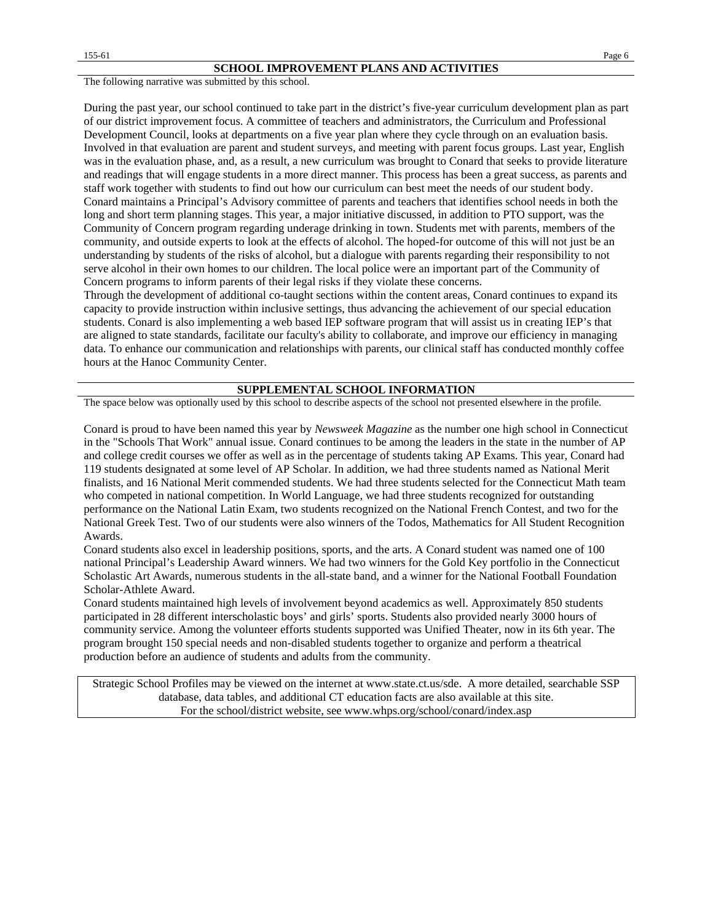The following narrative was submitted by this school.

During the past year, our school continued to take part in the district's five-year curriculum development plan as part of our district improvement focus. A committee of teachers and administrators, the Curriculum and Professional Development Council, looks at departments on a five year plan where they cycle through on an evaluation basis. Involved in that evaluation are parent and student surveys, and meeting with parent focus groups. Last year, English was in the evaluation phase, and, as a result, a new curriculum was brought to Conard that seeks to provide literature and readings that will engage students in a more direct manner. This process has been a great success, as parents and staff work together with students to find out how our curriculum can best meet the needs of our student body. Conard maintains a Principal's Advisory committee of parents and teachers that identifies school needs in both the long and short term planning stages. This year, a major initiative discussed, in addition to PTO support, was the Community of Concern program regarding underage drinking in town. Students met with parents, members of the community, and outside experts to look at the effects of alcohol. The hoped-for outcome of this will not just be an understanding by students of the risks of alcohol, but a dialogue with parents regarding their responsibility to not serve alcohol in their own homes to our children. The local police were an important part of the Community of Concern programs to inform parents of their legal risks if they violate these concerns.

Through the development of additional co-taught sections within the content areas, Conard continues to expand its capacity to provide instruction within inclusive settings, thus advancing the achievement of our special education students. Conard is also implementing a web based IEP software program that will assist us in creating IEP's that are aligned to state standards, facilitate our faculty's ability to collaborate, and improve our efficiency in managing data. To enhance our communication and relationships with parents, our clinical staff has conducted monthly coffee hours at the Hanoc Community Center.

#### **SUPPLEMENTAL SCHOOL INFORMATION**

The space below was optionally used by this school to describe aspects of the school not presented elsewhere in the profile.

Conard is proud to have been named this year by *Newsweek Magazine* as the number one high school in Connecticut in the "Schools That Work" annual issue. Conard continues to be among the leaders in the state in the number of AP and college credit courses we offer as well as in the percentage of students taking AP Exams. This year, Conard had 119 students designated at some level of AP Scholar. In addition, we had three students named as National Merit finalists, and 16 National Merit commended students. We had three students selected for the Connecticut Math team who competed in national competition. In World Language, we had three students recognized for outstanding performance on the National Latin Exam, two students recognized on the National French Contest, and two for the National Greek Test. Two of our students were also winners of the Todos, Mathematics for All Student Recognition Awards.

Conard students also excel in leadership positions, sports, and the arts. A Conard student was named one of 100 national Principal's Leadership Award winners. We had two winners for the Gold Key portfolio in the Connecticut Scholastic Art Awards, numerous students in the all-state band, and a winner for the National Football Foundation Scholar-Athlete Award.

Conard students maintained high levels of involvement beyond academics as well. Approximately 850 students participated in 28 different interscholastic boys' and girls' sports. Students also provided nearly 3000 hours of community service. Among the volunteer efforts students supported was Unified Theater, now in its 6th year. The program brought 150 special needs and non-disabled students together to organize and perform a theatrical production before an audience of students and adults from the community.

Strategic School Profiles may be viewed on the internet at www.state.ct.us/sde. A more detailed, searchable SSP database, data tables, and additional CT education facts are also available at this site. For the school/district website, see www.whps.org/school/conard/index.asp